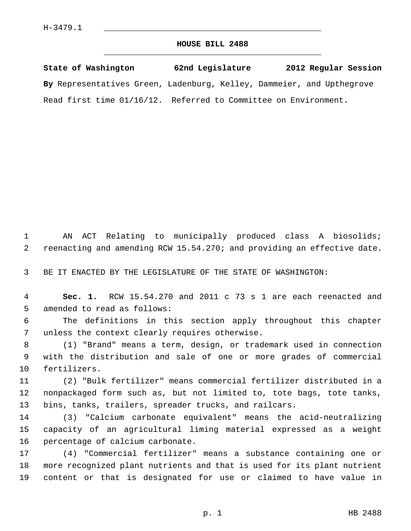## **HOUSE BILL 2488** \_\_\_\_\_\_\_\_\_\_\_\_\_\_\_\_\_\_\_\_\_\_\_\_\_\_\_\_\_\_\_\_\_\_\_\_\_\_\_\_\_\_\_\_\_

**State of Washington 62nd Legislature 2012 Regular Session By** Representatives Green, Ladenburg, Kelley, Dammeier, and Upthegrove Read first time 01/16/12. Referred to Committee on Environment.

 1 AN ACT Relating to municipally produced class A biosolids; 2 reenacting and amending RCW 15.54.270; and providing an effective date.

3 BE IT ENACTED BY THE LEGISLATURE OF THE STATE OF WASHINGTON:

 4 **Sec. 1.** RCW 15.54.270 and 2011 c 73 s 1 are each reenacted and 5 amended to read as follows:

 6 The definitions in this section apply throughout this chapter 7 unless the context clearly requires otherwise.

 8 (1) "Brand" means a term, design, or trademark used in connection 9 with the distribution and sale of one or more grades of commercial 10 fertilizers.

11 (2) "Bulk fertilizer" means commercial fertilizer distributed in a 12 nonpackaged form such as, but not limited to, tote bags, tote tanks, 13 bins, tanks, trailers, spreader trucks, and railcars.

14 (3) "Calcium carbonate equivalent" means the acid-neutralizing 15 capacity of an agricultural liming material expressed as a weight 16 percentage of calcium carbonate.

17 (4) "Commercial fertilizer" means a substance containing one or 18 more recognized plant nutrients and that is used for its plant nutrient 19 content or that is designated for use or claimed to have value in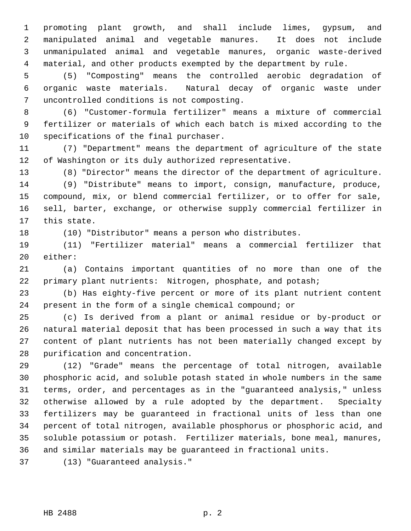1 promoting plant growth, and shall include limes, gypsum, and 2 manipulated animal and vegetable manures. It does not include 3 unmanipulated animal and vegetable manures, organic waste-derived 4 material, and other products exempted by the department by rule.

 5 (5) "Composting" means the controlled aerobic degradation of 6 organic waste materials. Natural decay of organic waste under 7 uncontrolled conditions is not composting.

 8 (6) "Customer-formula fertilizer" means a mixture of commercial 9 fertilizer or materials of which each batch is mixed according to the 10 specifications of the final purchaser.

11 (7) "Department" means the department of agriculture of the state 12 of Washington or its duly authorized representative.

13 (8) "Director" means the director of the department of agriculture.

14 (9) "Distribute" means to import, consign, manufacture, produce, 15 compound, mix, or blend commercial fertilizer, or to offer for sale, 16 sell, barter, exchange, or otherwise supply commercial fertilizer in 17 this state.

18 (10) "Distributor" means a person who distributes.

19 (11) "Fertilizer material" means a commercial fertilizer that 20 either:

21 (a) Contains important quantities of no more than one of the 22 primary plant nutrients: Nitrogen, phosphate, and potash;

23 (b) Has eighty-five percent or more of its plant nutrient content 24 present in the form of a single chemical compound; or

25 (c) Is derived from a plant or animal residue or by-product or 26 natural material deposit that has been processed in such a way that its 27 content of plant nutrients has not been materially changed except by 28 purification and concentration.

29 (12) "Grade" means the percentage of total nitrogen, available 30 phosphoric acid, and soluble potash stated in whole numbers in the same 31 terms, order, and percentages as in the "guaranteed analysis," unless 32 otherwise allowed by a rule adopted by the department. Specialty 33 fertilizers may be guaranteed in fractional units of less than one 34 percent of total nitrogen, available phosphorus or phosphoric acid, and 35 soluble potassium or potash. Fertilizer materials, bone meal, manures, 36 and similar materials may be guaranteed in fractional units.

37 (13) "Guaranteed analysis."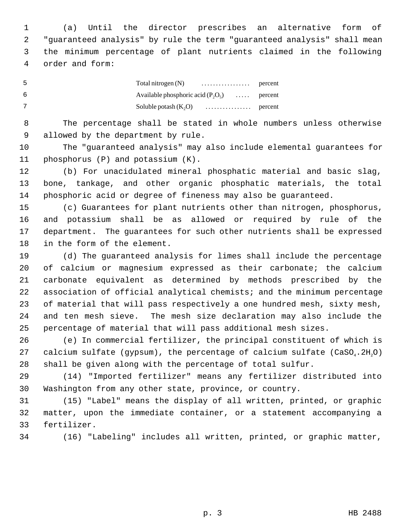1 (a) Until the director prescribes an alternative form of 2 "guaranteed analysis" by rule the term "guaranteed analysis" shall mean 3 the minimum percentage of plant nutrients claimed in the following 4 order and form:

| - 5 |                                      |                  |
|-----|--------------------------------------|------------------|
| - 6 | Available phosphoric acid $(P_2O_5)$ | $\ldots$ percent |
|     | Soluble potash $(K_2O)$              |                  |

 8 The percentage shall be stated in whole numbers unless otherwise 9 allowed by the department by rule.

10 The "guaranteed analysis" may also include elemental guarantees for 11 phosphorus (P) and potassium (K).

12 (b) For unacidulated mineral phosphatic material and basic slag, 13 bone, tankage, and other organic phosphatic materials, the total 14 phosphoric acid or degree of fineness may also be guaranteed.

15 (c) Guarantees for plant nutrients other than nitrogen, phosphorus, 16 and potassium shall be as allowed or required by rule of the 17 department. The guarantees for such other nutrients shall be expressed 18 in the form of the element.

19 (d) The guaranteed analysis for limes shall include the percentage 20 of calcium or magnesium expressed as their carbonate; the calcium 21 carbonate equivalent as determined by methods prescribed by the 22 association of official analytical chemists; and the minimum percentage 23 of material that will pass respectively a one hundred mesh, sixty mesh, 24 and ten mesh sieve. The mesh size declaration may also include the 25 percentage of material that will pass additional mesh sizes.

26 (e) In commercial fertilizer, the principal constituent of which is 27 calcium sulfate (gypsum), the percentage of calcium sulfate  $(CaSO_4.2H,0)$ 28 shall be given along with the percentage of total sulfur.

29 (14) "Imported fertilizer" means any fertilizer distributed into 30 Washington from any other state, province, or country.

31 (15) "Label" means the display of all written, printed, or graphic 32 matter, upon the immediate container, or a statement accompanying a 33 fertilizer.

34 (16) "Labeling" includes all written, printed, or graphic matter,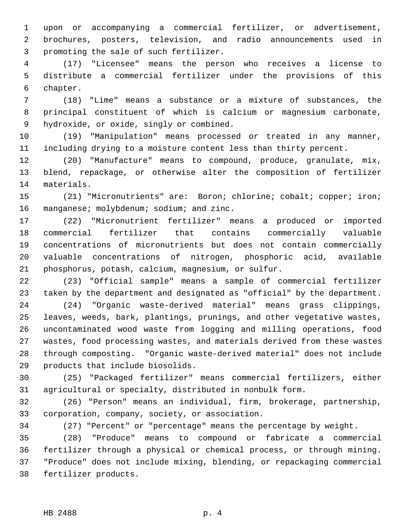1 upon or accompanying a commercial fertilizer, or advertisement, 2 brochures, posters, television, and radio announcements used in 3 promoting the sale of such fertilizer.

 4 (17) "Licensee" means the person who receives a license to 5 distribute a commercial fertilizer under the provisions of this 6 chapter.

 7 (18) "Lime" means a substance or a mixture of substances, the 8 principal constituent of which is calcium or magnesium carbonate, 9 hydroxide, or oxide, singly or combined.

10 (19) "Manipulation" means processed or treated in any manner, 11 including drying to a moisture content less than thirty percent.

12 (20) "Manufacture" means to compound, produce, granulate, mix, 13 blend, repackage, or otherwise alter the composition of fertilizer 14 materials.

15 (21) "Micronutrients" are: Boron; chlorine; cobalt; copper; iron; 16 manganese; molybdenum; sodium; and zinc.

17 (22) "Micronutrient fertilizer" means a produced or imported 18 commercial fertilizer that contains commercially valuable 19 concentrations of micronutrients but does not contain commercially 20 valuable concentrations of nitrogen, phosphoric acid, available 21 phosphorus, potash, calcium, magnesium, or sulfur.

22 (23) "Official sample" means a sample of commercial fertilizer 23 taken by the department and designated as "official" by the department.

24 (24) "Organic waste-derived material" means grass clippings, 25 leaves, weeds, bark, plantings, prunings, and other vegetative wastes, 26 uncontaminated wood waste from logging and milling operations, food 27 wastes, food processing wastes, and materials derived from these wastes 28 through composting. "Organic waste-derived material" does not include 29 products that include biosolids.

30 (25) "Packaged fertilizer" means commercial fertilizers, either 31 agricultural or specialty, distributed in nonbulk form.

32 (26) "Person" means an individual, firm, brokerage, partnership, 33 corporation, company, society, or association.

34 (27) "Percent" or "percentage" means the percentage by weight.

35 (28) "Produce" means to compound or fabricate a commercial 36 fertilizer through a physical or chemical process, or through mining. 37 "Produce" does not include mixing, blending, or repackaging commercial 38 fertilizer products.